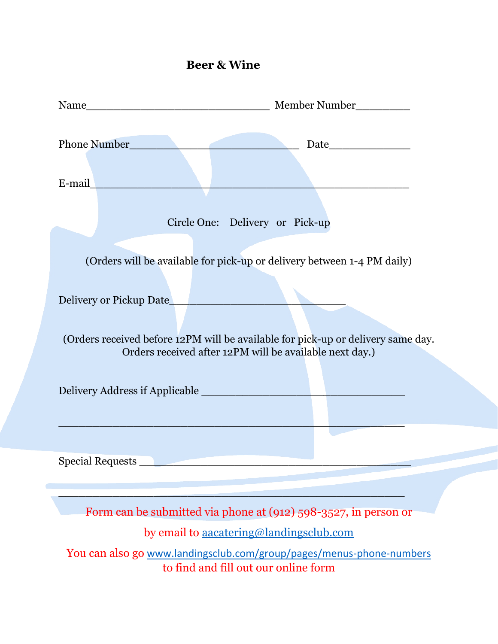## **Beer & Wine**

| E-mail and the contract of the contract of the contract of the contract of the contract of the contract of the                                                                                                                                    |
|---------------------------------------------------------------------------------------------------------------------------------------------------------------------------------------------------------------------------------------------------|
|                                                                                                                                                                                                                                                   |
| Circle One: Delivery or Pick-up                                                                                                                                                                                                                   |
| (Orders will be available for pick-up or delivery between 1-4 PM daily)<br>Delivery or Pickup Date<br>(Orders received before 12PM will be available for pick-up or delivery same day.<br>Orders received after 12PM will be available next day.) |
|                                                                                                                                                                                                                                                   |
|                                                                                                                                                                                                                                                   |
| Form can be submitted via phone at (912) 598-3527, in person or                                                                                                                                                                                   |
| by email to aacatering@landingsclub.com                                                                                                                                                                                                           |
| You can also go www.landingsclub.com/group/pages/menus-phone-numbers                                                                                                                                                                              |
| to find and fill out our online form                                                                                                                                                                                                              |
|                                                                                                                                                                                                                                                   |